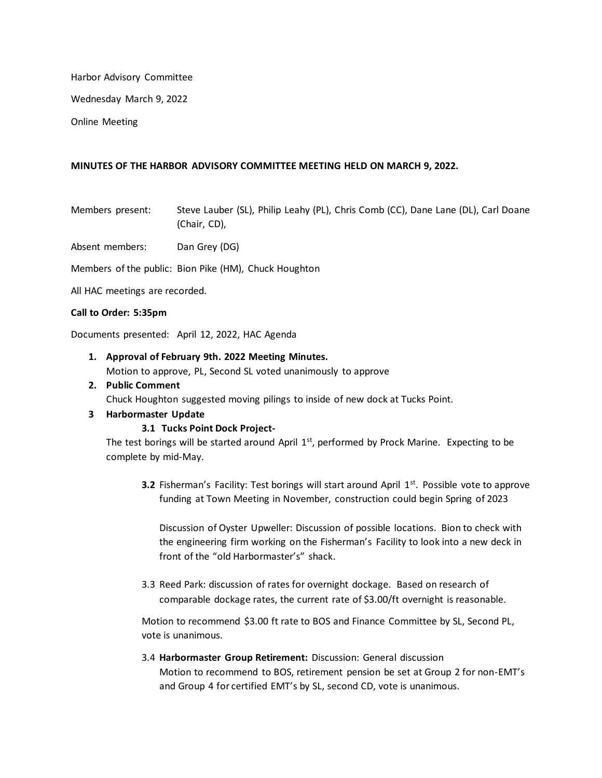Harbor Advisory Committee

Wednesday March 9, 2022

Online Meeting

### **MINUTES OF THE HARBOR ADVISORY COMMITTEE MEETING HELD ON MARCH 9, 2022.**

Members present: Steve Lauber (SL), Philip Leahy (PL), Chris Comb (CC), Dane Lane (DL), Carl Doane (Chair, CD),

Absent members: Dan Grey (DG)

Members of the public: Bion Pike (HM), Chuck Houghton

All HAC meetings are recorded.

### **Call to Order: 5:35pm**

Documents presented: April 12, 2022, HAC Agenda

# **1. Approval of February 9th. 2022 Meeting Minutes.**

Motion to approve, PL, Second SL voted unanimously to approve

# **2. Public Comment**

Chuck Houghton suggested moving pilings to inside of new dock at Tucks Point.

# **3 Harbormaster Update**

# **3.1 Tucks Point Dock Project-**

The test borings will be started around April  $1<sup>st</sup>$ , performed by Prock Marine. Expecting to be complete by mid-May.

**3.2** Fisherman's Facility: Test borings will start around April 1<sup>st</sup>. Possible vote to approve funding at Town Meeting in November, construction could begin Spring of 2023

Discussion of Oyster Upweller: Discussion of possible locations. Bion to check with the engineering firm working on the Fisherman's Facility to look into a new deck in front of the "old Harbormaster's" shack.

3.3 Reed Park: discussion of rates for overnight dockage. Based on research of comparable dockage rates, the current rate of \$3.00/ft overnight is reasonable.

Motion to recommend \$3.00 ft rate to BOS and Finance Committee by SL, Second PL, vote is unanimous.

# 3.4 **Harbormaster Group Retirement:** Discussion: General discussion Motion to recommend to BOS, retirement pension be set at Group 2 for non-EMT's and Group 4 for certified EMT's by SL, second CD, vote is unanimous.